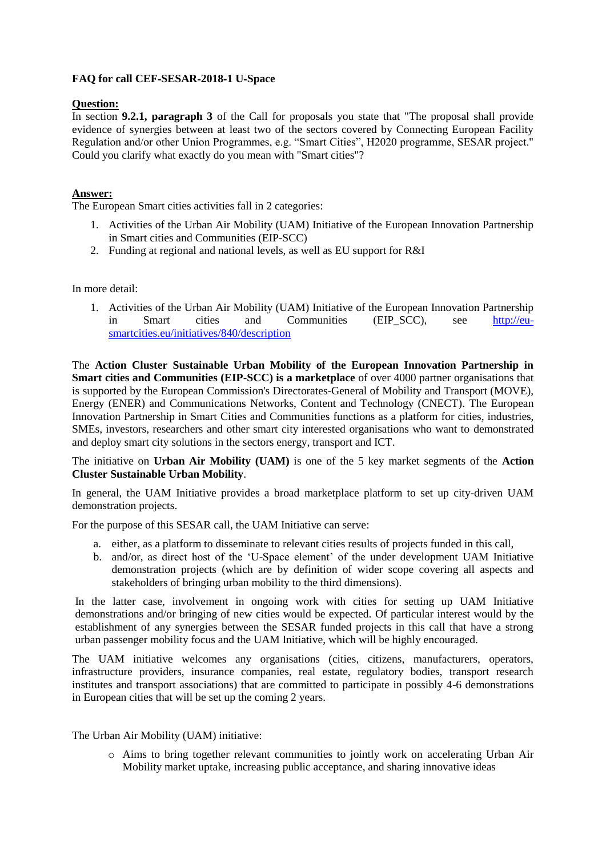## **FAQ for call CEF**‐**SESAR**‐**2018**‐**1 U**‐**Space**

## **Question:**

In section **9.2.1, paragraph 3** of the Call for proposals you state that "The proposal shall provide evidence of synergies between at least two of the sectors covered by Connecting European Facility Regulation and/or other Union Programmes, e.g. "Smart Cities", H2020 programme, SESAR project." Could you clarify what exactly do you mean with "Smart cities"?

## **Answer:**

The European Smart cities activities fall in 2 categories:

- 1. Activities of the Urban Air Mobility (UAM) Initiative of the European Innovation Partnership in Smart cities and Communities (EIP-SCC)
- 2. Funding at regional and national levels, as well as EU support for R&I

In more detail:

1. Activities of the Urban Air Mobility (UAM) Initiative of the European Innovation Partnership in Smart cities and Communities (EIP\_SCC), see [http://eu](http://eu-smartcities.eu/initiatives/840/description)[smartcities.eu/initiatives/840/description](http://eu-smartcities.eu/initiatives/840/description)

The **Action Cluster Sustainable Urban Mobility of the European Innovation Partnership in Smart cities and Communities (EIP-SCC) is a marketplace** of over 4000 partner organisations that is supported by the European Commission's Directorates-General of Mobility and Transport (MOVE), Energy (ENER) and Communications Networks, Content and Technology (CNECT). The European Innovation Partnership in Smart Cities and Communities functions as a platform for cities, industries, SMEs, investors, researchers and other smart city interested organisations who want to demonstrated and deploy smart city solutions in the sectors energy, transport and ICT.

The initiative on **Urban Air Mobility (UAM)** is one of the 5 key market segments of the **Action Cluster Sustainable Urban Mobility**.

In general, the UAM Initiative provides a broad marketplace platform to set up city-driven UAM demonstration projects.

For the purpose of this SESAR call, the UAM Initiative can serve:

- a. either, as a platform to disseminate to relevant cities results of projects funded in this call,
- b. and/or, as direct host of the 'U-Space element' of the under development UAM Initiative demonstration projects (which are by definition of wider scope covering all aspects and stakeholders of bringing urban mobility to the third dimensions).

In the latter case, involvement in ongoing work with cities for setting up UAM Initiative demonstrations and/or bringing of new cities would be expected. Of particular interest would by the establishment of any synergies between the SESAR funded projects in this call that have a strong urban passenger mobility focus and the UAM Initiative, which will be highly encouraged.

The UAM initiative welcomes any organisations (cities, citizens, manufacturers, operators, infrastructure providers, insurance companies, real estate, regulatory bodies, transport research institutes and transport associations) that are committed to participate in possibly 4-6 demonstrations in European cities that will be set up the coming 2 years.

The Urban Air Mobility (UAM) initiative:

o Aims to bring together relevant communities to jointly work on accelerating Urban Air Mobility market uptake, increasing public acceptance, and sharing innovative ideas